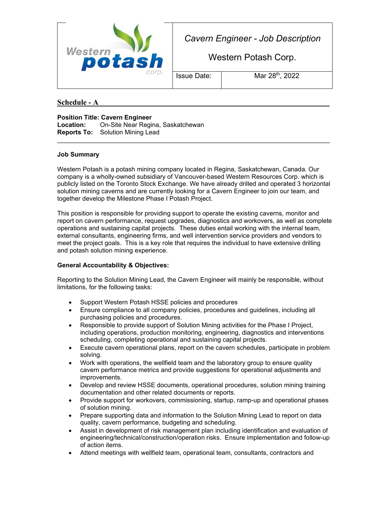

*Cavern Engineer - Job Description*

Western Potash Corp.

Issue Date: Mar 28<sup>th</sup>, 2022

**Schedule - A \_\_\_\_\_\_\_\_\_\_\_\_\_\_\_\_\_\_\_\_\_\_\_\_\_\_\_\_\_\_\_\_\_\_\_\_\_\_\_\_\_\_\_\_\_\_\_**

**Position Title: Cavern Engineer Location:** On-Site Near Regina, Saskatchewan **Reports To:** Solution Mining Lead

## **Job Summary**

Western Potash is a potash mining company located in Regina, Saskatchewan, Canada. Our company is a wholly-owned subsidiary of Vancouver-based Western Resources Corp. which is publicly listed on the Toronto Stock Exchange. We have already drilled and operated 3 horizontal solution mining caverns and are currently looking for a Cavern Engineer to join our team, and together develop the Milestone Phase I Potash Project.

\_\_\_\_\_\_\_\_\_\_\_\_\_\_\_\_\_\_\_\_\_\_\_\_\_\_\_\_\_\_\_\_\_\_\_\_\_\_\_\_\_\_\_\_\_\_\_\_\_\_\_\_\_\_\_\_\_\_\_\_\_\_\_\_\_\_\_\_\_\_\_\_\_\_\_\_\_

This position is responsible for providing support to operate the existing caverns, monitor and report on cavern performance, request upgrades, diagnostics and workovers, as well as complete operations and sustaining capital projects. These duties entail working with the internal team, external consultants, engineering firms, and well intervention service providers and vendors to meet the project goals. This is a key role that requires the individual to have extensive drilling and potash solution mining experience.

## **General Accountability & Objectives:**

Reporting to the Solution Mining Lead, the Cavern Engineer will mainly be responsible, without limitations, for the following tasks:

- Support Western Potash HSSE policies and procedures
- Ensure compliance to all company policies, procedures and guidelines, including all purchasing policies and procedures.
- Responsible to provide support of Solution Mining activities for the Phase I Project, including operations, production monitoring, engineering, diagnostics and interventions scheduling, completing operational and sustaining capital projects.
- Execute cavern operational plans, report on the cavern schedules, participate in problem solving.
- Work with operations, the wellfield team and the laboratory group to ensure quality cavern performance metrics and provide suggestions for operational adjustments and improvements.
- Develop and review HSSE documents, operational procedures, solution mining training documentation and other related documents or reports.
- Provide support for workovers, commissioning, startup, ramp-up and operational phases of solution mining.
- Prepare supporting data and information to the Solution Mining Lead to report on data quality, cavern performance, budgeting and scheduling.
- Assist in development of risk management plan including identification and evaluation of engineering/technical/construction/operation risks. Ensure implementation and follow-up of action items.
- Attend meetings with wellfield team, operational team, consultants, contractors and